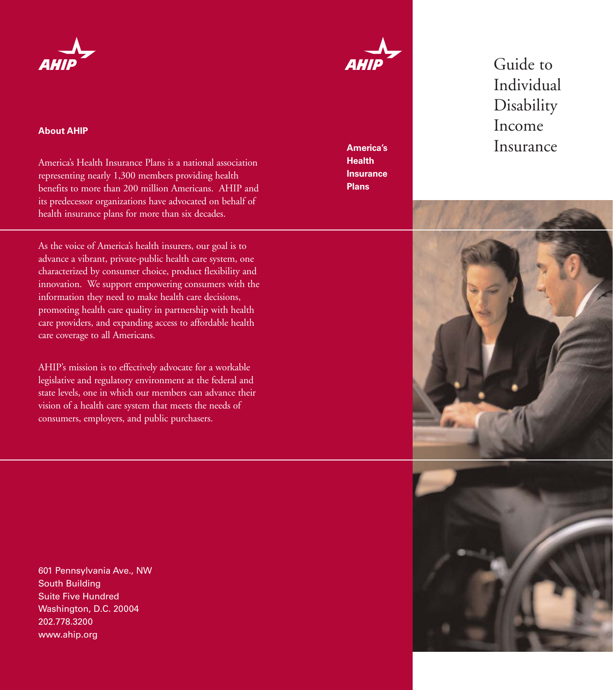

#### **About AHIP**

America's Health Insurance Plans is a national association representing nearly 1,300 members providing health benefits to more than 200 million Americans. AHIP and its predecessor organizations have advocated on behalf of health insurance plans for more than six decades.

As the voice of America's health insurers, our goal is to advance a vibrant, private-public health care system, one characterized by consumer choice, product flexibility and innovation. We support empowering consumers with the information they need to make health care decisions, promoting health care quality in partnership with health care providers, and expanding access to affordable health care coverage to all Americans.

AHIP's mission is to effectively advocate for a workable legislative and regulatory environment at the federal and state levels, one in which our members can advance their vision of a health care system that meets the needs of consumers, employers, and public purchasers.

601 Pennsylvania Ave., NW South Building Suite Five Hundred Washington, D.C. 20004 202.778.3200 www.ahip.org



**Health Insurance Plans**

Guide to Individual **Disability** Income **America's Insurance** 



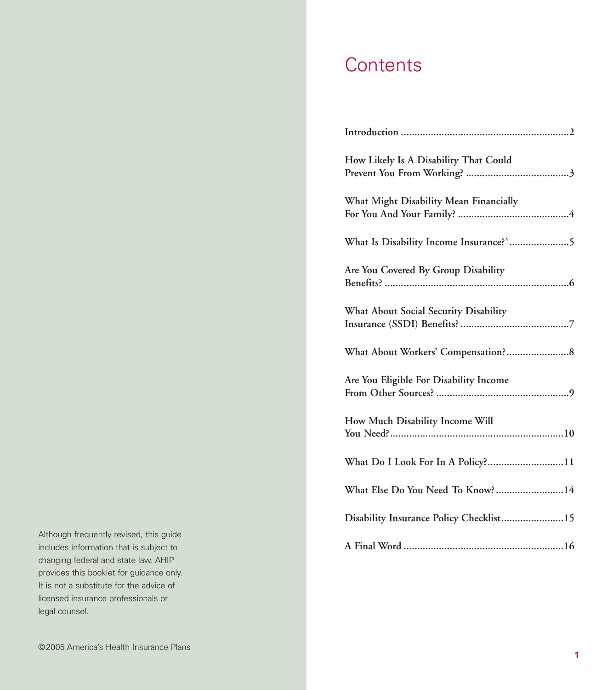## **Contents**

| How Likely Is A Disability That Could   |
|-----------------------------------------|
| What Might Disability Mean Financially  |
| What Is Disability Income Insurance?'5  |
| Are You Covered By Group Disability     |
| What About Social Security Disability   |
|                                         |
| Are You Eligible For Disability Income  |
| How Much Disability Income Will         |
| What Do I Look For In A Policy?11       |
| What Else Do You Need To Know?14        |
| Disability Insurance Policy Checklist15 |
|                                         |

Although frequently revised, this guide includes information that is subject to changing federal and state law. AHIP provides this booklet for guidance only. It is not a substitute for the advice of licensed insurance professionals or legal counsel.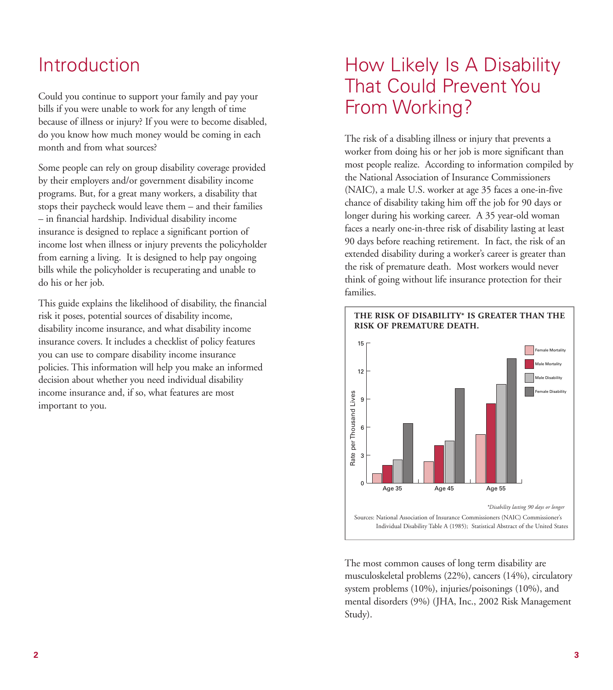### Introduction

Could you continue to support your family and pay your bills if you were unable to work for any length of time because of illness or injury? If you were to become disabled, do you know how much money would be coming in each month and from what sources?

Some people can rely on group disability coverage provided by their employers and/or government disability income programs. But, for a great many workers, a disability that stops their paycheck would leave them – and their families – in financial hardship. Individual disability income insurance is designed to replace a significant portion of income lost when illness or injury prevents the policyholder from earning a living. It is designed to help pay ongoing bills while the policyholder is recuperating and unable to do his or her job.

This guide explains the likelihood of disability, the financial risk it poses, potential sources of disability income, disability income insurance, and what disability income insurance covers. It includes a checklist of policy features you can use to compare disability income insurance policies. This information will help you make an informed decision about whether you need individual disability income insurance and, if so, what features are most important to you.

# How Likely Is A Disability That Could Prevent You From Working?

The risk of a disabling illness or injury that prevents a worker from doing his or her job is more significant than most people realize. According to information compiled by the National Association of Insurance Commissioners (NAIC), a male U.S. worker at age 35 faces a one-in-five chance of disability taking him off the job for 90 days or longer during his working career. A 35 year-old woman faces a nearly one-in-three risk of disability lasting at least 90 days before reaching retirement. In fact, the risk of an extended disability during a worker's career is greater than the risk of premature death. Most workers would never think of going without life insurance protection for their families.



The most common causes of long term disability are musculoskeletal problems (22%), cancers (14%), circulatory system problems (10%), injuries/poisonings (10%), and mental disorders (9%) (JHA, Inc., 2002 Risk Management Study).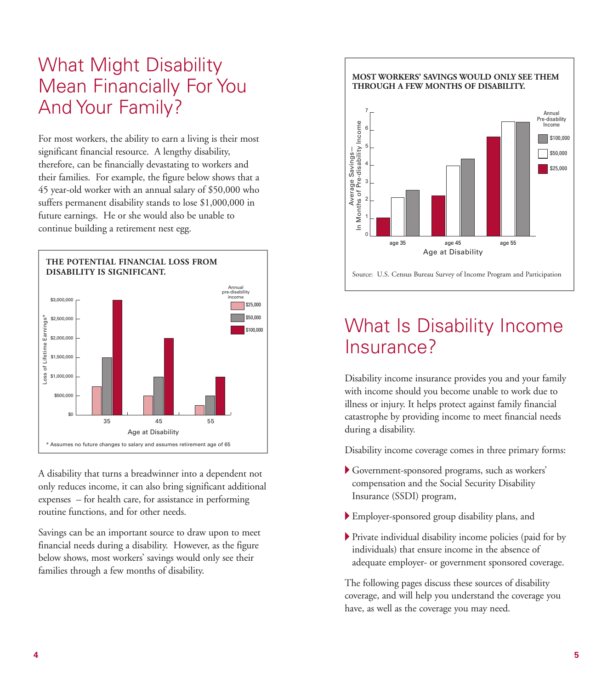# What Might Disability Mean Financially For You And Your Family?

For most workers, the ability to earn a living is their most significant financial resource. A lengthy disability, therefore, can be financially devastating to workers and their families. For example, the figure below shows that a 45 year-old worker with an annual salary of \$50,000 who suffers permanent disability stands to lose \$1,000,000 in future earnings. He or she would also be unable to continue building a retirement nest egg.



A disability that turns a breadwinner into a dependent not only reduces income, it can also bring significant additional expenses – for health care, for assistance in performing routine functions, and for other needs.

Savings can be an important source to draw upon to meet financial needs during a disability. However, as the figure below shows, most workers' savings would only see their families through a few months of disability.

#### **MOST WORKERS' SAVINGS WOULD ONLY SEE THEM THROUGH A FEW MONTHS OF DISABILITY.**



### What Is Disability Income Insurance?

Disability income insurance provides you and your family with income should you become unable to work due to illness or injury. It helps protect against family financial catastrophe by providing income to meet financial needs during a disability.

Disability income coverage comes in three primary forms:

- A Government-sponsored programs, such as workers' compensation and the Social Security Disability Insurance (SSDI) program,
- A Employer-sponsored group disability plans, and
- A Private individual disability income policies (paid for by individuals) that ensure income in the absence of adequate employer- or government sponsored coverage.

The following pages discuss these sources of disability coverage, and will help you understand the coverage you have, as well as the coverage you may need.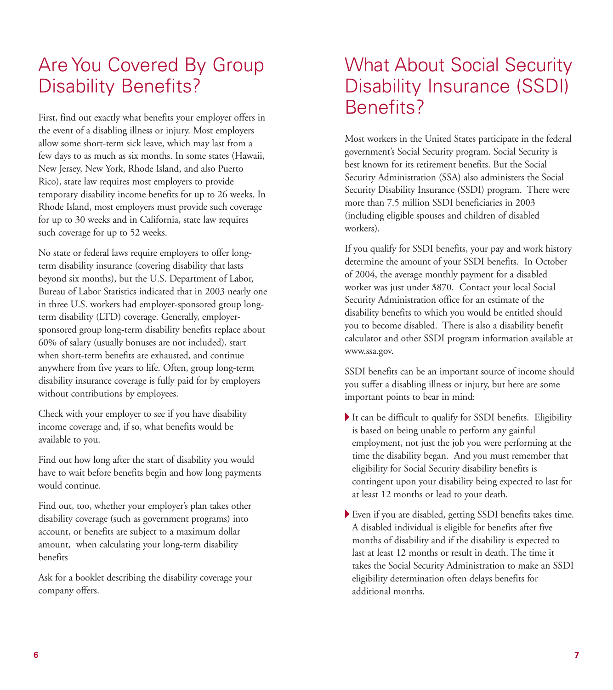# Are You Covered By Group Disability Benefits?

First, find out exactly what benefits your employer offers in the event of a disabling illness or injury. Most employers allow some short-term sick leave, which may last from a few days to as much as six months. In some states (Hawaii, New Jersey, New York, Rhode Island, and also Puerto Rico), state law requires most employers to provide temporary disability income benefits for up to 26 weeks. In Rhode Island, most employers must provide such coverage for up to 30 weeks and in California, state law requires such coverage for up to 52 weeks.

No state or federal laws require employers to offer longterm disability insurance (covering disability that lasts beyond six months), but the U.S. Department of Labor, Bureau of Labor Statistics indicated that in 2003 nearly one in three U.S. workers had employer-sponsored group longterm disability (LTD) coverage. Generally, employersponsored group long-term disability benefits replace about 60% of salary (usually bonuses are not included), start when short-term benefits are exhausted, and continue anywhere from five years to life. Often, group long-term disability insurance coverage is fully paid for by employers without contributions by employees.

Check with your employer to see if you have disability income coverage and, if so, what benefits would be available to you.

Find out how long after the start of disability you would have to wait before benefits begin and how long payments would continue.

Find out, too, whether your employer's plan takes other disability coverage (such as government programs) into account, or benefits are subject to a maximum dollar amount, when calculating your long-term disability benefits

Ask for a booklet describing the disability coverage your company offers.

### What About Social Security Disability Insurance (SSDI) Benefits?

Most workers in the United States participate in the federal government's Social Security program. Social Security is best known for its retirement benefits. But the Social Security Administration (SSA) also administers the Social Security Disability Insurance (SSDI) program. There were more than 7.5 million SSDI beneficiaries in 2003 (including eligible spouses and children of disabled workers).

If you qualify for SSDI benefits, your pay and work history determine the amount of your SSDI benefits. In October of 2004, the average monthly payment for a disabled worker was just under \$870. Contact your local Social Security Administration office for an estimate of the disability benefits to which you would be entitled should you to become disabled. There is also a disability benefit calculator and other SSDI program information available at www.ssa.gov.

SSDI benefits can be an important source of income should you suffer a disabling illness or injury, but here are some important points to bear in mind:

- A It can be difficult to qualify for SSDI benefits. Eligibility is based on being unable to perform any gainful employment, not just the job you were performing at the time the disability began. And you must remember that eligibility for Social Security disability benefits is contingent upon your disability being expected to last for at least 12 months or lead to your death.
- A Even if you are disabled, getting SSDI benefits takes time. A disabled individual is eligible for benefits after five months of disability and if the disability is expected to last at least 12 months or result in death. The time it takes the Social Security Administration to make an SSDI eligibility determination often delays benefits for additional months.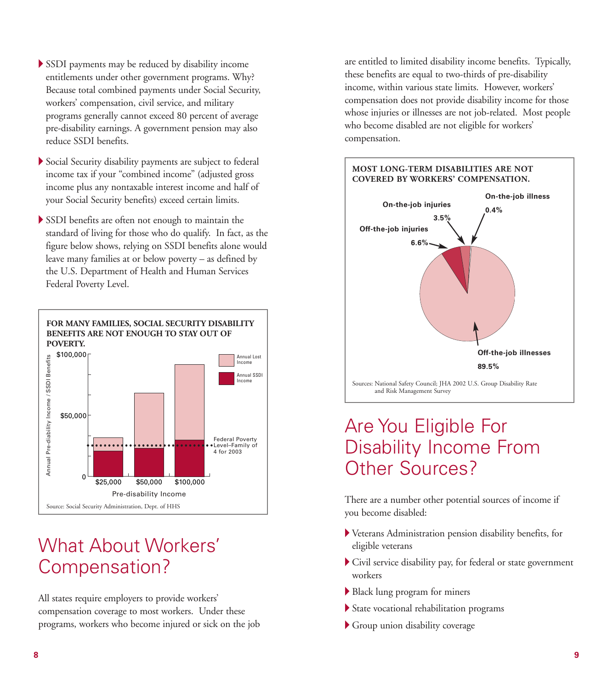- A SSDI payments may be reduced by disability income entitlements under other government programs. Why? Because total combined payments under Social Security, workers' compensation, civil service, and military programs generally cannot exceed 80 percent of average pre-disability earnings. A government pension may also reduce SSDI benefits.
- A Social Security disability payments are subject to federal income tax if your "combined income" (adjusted gross income plus any nontaxable interest income and half of your Social Security benefits) exceed certain limits.
- A SSDI benefits are often not enough to maintain the standard of living for those who do qualify. In fact, as the figure below shows, relying on SSDI benefits alone would leave many families at or below poverty – as defined by the U.S. Department of Health and Human Services Federal Poverty Level.



# What About Workers' Compensation?

All states require employers to provide workers' compensation coverage to most workers. Under these programs, workers who become injured or sick on the job are entitled to limited disability income benefits. Typically, these benefits are equal to two-thirds of pre-disability income, within various state limits. However, workers' compensation does not provide disability income for those whose injuries or illnesses are not job-related. Most people who become disabled are not eligible for workers' compensation.

**MOST LONG-TERM DISABILITIES ARE NOT**

# **COVERED BY WORKERS' COMPENSATION.**  Sources: National Safety Council; JHA 2002 U.S. Group Disability Rate and Risk Management Survey **On-the-job illness 0.4% On-the-job injuries 3.5% Off-the-job injuries 6.6% Off-the-job illnesses 89.5%**

# Are You Eligible For Disability Income From Other Sources?

There are a number other potential sources of income if you become disabled:

- A Veterans Administration pension disability benefits, for eligible veterans
- A Civil service disability pay, for federal or state government workers
- A Black lung program for miners
- $\blacktriangleright$  State vocational rehabilitation programs
- A Group union disability coverage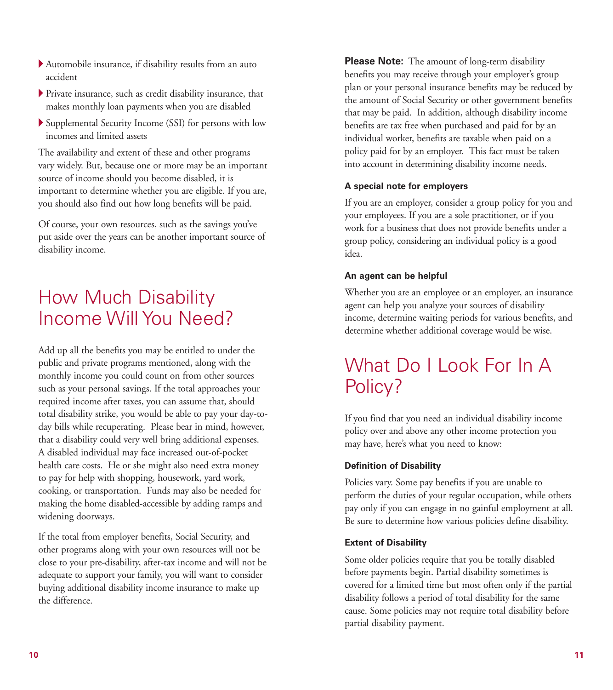- $\blacktriangleright$  Automobile insurance, if disability results from an auto accident
- A Private insurance, such as credit disability insurance, that makes monthly loan payments when you are disabled
- A Supplemental Security Income (SSI) for persons with low incomes and limited assets

The availability and extent of these and other programs vary widely. But, because one or more may be an important source of income should you become disabled, it is important to determine whether you are eligible. If you are, you should also find out how long benefits will be paid.

Of course, your own resources, such as the savings you've put aside over the years can be another important source of disability income.

# How Much Disability Income Will You Need?

Add up all the benefits you may be entitled to under the public and private programs mentioned, along with the monthly income you could count on from other sources such as your personal savings. If the total approaches your required income after taxes, you can assume that, should total disability strike, you would be able to pay your day-today bills while recuperating. Please bear in mind, however, that a disability could very well bring additional expenses. A disabled individual may face increased out-of-pocket health care costs. He or she might also need extra money to pay for help with shopping, housework, yard work, cooking, or transportation. Funds may also be needed for making the home disabled-accessible by adding ramps and widening doorways.

If the total from employer benefits, Social Security, and other programs along with your own resources will not be close to your pre-disability, after-tax income and will not be adequate to support your family, you will want to consider buying additional disability income insurance to make up the difference.

**Please Note:** The amount of long-term disability benefits you may receive through your employer's group plan or your personal insurance benefits may be reduced by the amount of Social Security or other government benefits that may be paid. In addition, although disability income benefits are tax free when purchased and paid for by an individual worker, benefits are taxable when paid on a policy paid for by an employer. This fact must be taken into account in determining disability income needs.

### **A special note for employers**

If you are an employer, consider a group policy for you and your employees. If you are a sole practitioner, or if you work for a business that does not provide benefits under a group policy, considering an individual policy is a good idea.

### **An agent can be helpful**

Whether you are an employee or an employer, an insurance agent can help you analyze your sources of disability income, determine waiting periods for various benefits, and determine whether additional coverage would be wise.

# What Do I Look For In A Policy?

If you find that you need an individual disability income policy over and above any other income protection you may have, here's what you need to know:

### **Definition of Disability**

Policies vary. Some pay benefits if you are unable to perform the duties of your regular occupation, while others pay only if you can engage in no gainful employment at all. Be sure to determine how various policies define disability.

### **Extent of Disability**

Some older policies require that you be totally disabled before payments begin. Partial disability sometimes is covered for a limited time but most often only if the partial disability follows a period of total disability for the same cause. Some policies may not require total disability before partial disability payment.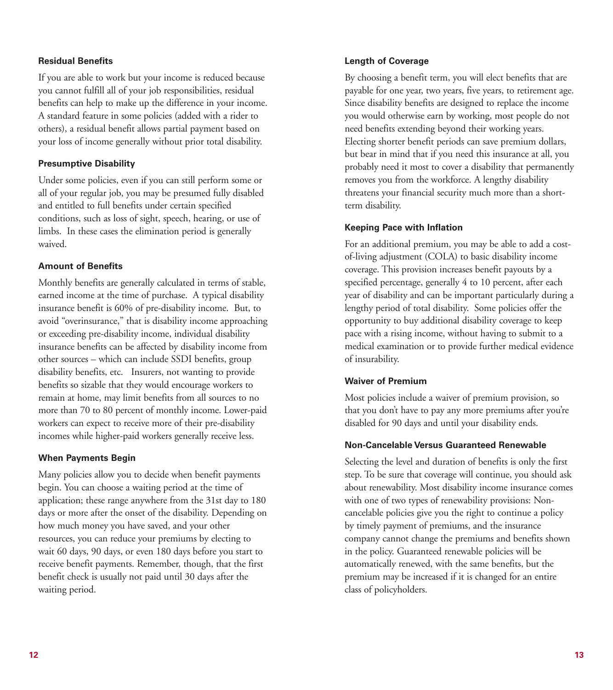### **Residual Benefits**

If you are able to work but your income is reduced because you cannot fulfill all of your job responsibilities, residual benefits can help to make up the difference in your income. A standard feature in some policies (added with a rider to others), a residual benefit allows partial payment based on your loss of income generally without prior total disability.

### **Presumptive Disability**

Under some policies, even if you can still perform some or all of your regular job, you may be presumed fully disabled and entitled to full benefits under certain specified conditions, such as loss of sight, speech, hearing, or use of limbs. In these cases the elimination period is generally waived.

### **Amount of Benefits**

Monthly benefits are generally calculated in terms of stable, earned income at the time of purchase. A typical disability insurance benefit is 60% of pre-disability income. But, to avoid "overinsurance," that is disability income approaching or exceeding pre-disability income, individual disability insurance benefits can be affected by disability income from other sources – which can include SSDI benefits, group disability benefits, etc. Insurers, not wanting to provide benefits so sizable that they would encourage workers to remain at home, may limit benefits from all sources to no more than 70 to 80 percent of monthly income. Lower-paid workers can expect to receive more of their pre-disability incomes while higher-paid workers generally receive less.

#### **When Payments Begin**

Many policies allow you to decide when benefit payments begin. You can choose a waiting period at the time of application; these range anywhere from the 31st day to 180 days or more after the onset of the disability. Depending on how much money you have saved, and your other resources, you can reduce your premiums by electing to wait 60 days, 90 days, or even 180 days before you start to receive benefit payments. Remember, though, that the first benefit check is usually not paid until 30 days after the waiting period.

#### **Length of Coverage**

By choosing a benefit term, you will elect benefits that are payable for one year, two years, five years, to retirement age. Since disability benefits are designed to replace the income you would otherwise earn by working, most people do not need benefits extending beyond their working years. Electing shorter benefit periods can save premium dollars, but bear in mind that if you need this insurance at all, you probably need it most to cover a disability that permanently removes you from the workforce. A lengthy disability threatens your financial security much more than a shortterm disability.

#### **Keeping Pace with Inflation**

For an additional premium, you may be able to add a costof-living adjustment (COLA) to basic disability income coverage. This provision increases benefit payouts by a specified percentage, generally 4 to 10 percent, after each year of disability and can be important particularly during a lengthy period of total disability. Some policies offer the opportunity to buy additional disability coverage to keep pace with a rising income, without having to submit to a medical examination or to provide further medical evidence of insurability.

#### **Waiver of Premium**

Most policies include a waiver of premium provision, so that you don't have to pay any more premiums after you're disabled for 90 days and until your disability ends.

#### **Non-Cancelable Versus Guaranteed Renewable**

Selecting the level and duration of benefits is only the first step. To be sure that coverage will continue, you should ask about renewability. Most disability income insurance comes with one of two types of renewability provisions: Noncancelable policies give you the right to continue a policy by timely payment of premiums, and the insurance company cannot change the premiums and benefits shown in the policy. Guaranteed renewable policies will be automatically renewed, with the same benefits, but the premium may be increased if it is changed for an entire class of policyholders.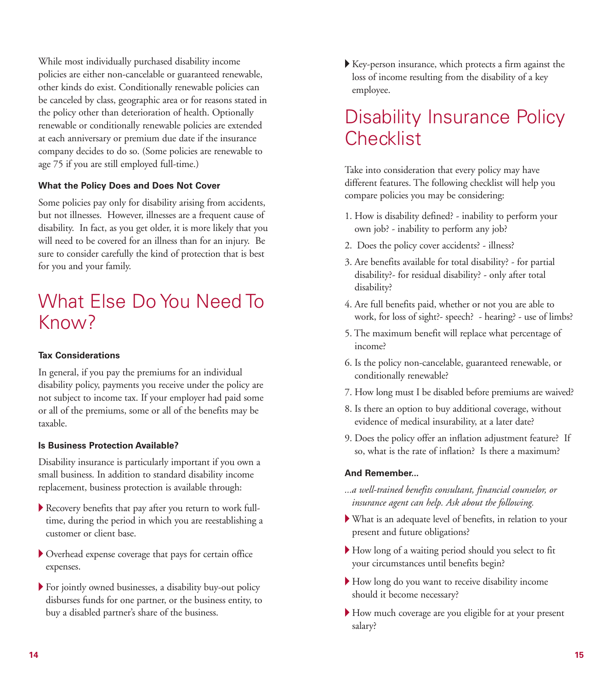While most individually purchased disability income policies are either non-cancelable or guaranteed renewable, other kinds do exist. Conditionally renewable policies can be canceled by class, geographic area or for reasons stated in the policy other than deterioration of health. Optionally renewable or conditionally renewable policies are extended at each anniversary or premium due date if the insurance company decides to do so. (Some policies are renewable to age 75 if you are still employed full-time.)

### **What the Policy Does and Does Not Cover**

Some policies pay only for disability arising from accidents, but not illnesses. However, illnesses are a frequent cause of disability. In fact, as you get older, it is more likely that you will need to be covered for an illness than for an injury. Be sure to consider carefully the kind of protection that is best for you and your family.

# What Else Do You Need To Know?

### **Tax Considerations**

In general, if you pay the premiums for an individual disability policy, payments you receive under the policy are not subject to income tax. If your employer had paid some or all of the premiums, some or all of the benefits may be taxable.

### **Is Business Protection Available?**

Disability insurance is particularly important if you own a small business. In addition to standard disability income replacement, business protection is available through:

- A Recovery benefits that pay after you return to work fulltime, during the period in which you are reestablishing a customer or client base.
- A Overhead expense coverage that pays for certain office expenses.
- A For jointly owned businesses, a disability buy-out policy disburses funds for one partner, or the business entity, to buy a disabled partner's share of the business.

A Key-person insurance, which protects a firm against the loss of income resulting from the disability of a key employee.

# Disability Insurance Policy **Checklist**

Take into consideration that every policy may have different features. The following checklist will help you compare policies you may be considering:

- 1. How is disability defined? inability to perform your own job? - inability to perform any job?
- 2. Does the policy cover accidents? illness?
- 3. Are benefits available for total disability? for partial disability?- for residual disability? - only after total disability?
- 4. Are full benefits paid, whether or not you are able to work, for loss of sight?- speech? - hearing? - use of limbs?
- 5. The maximum benefit will replace what percentage of income?
- 6. Is the policy non-cancelable, guaranteed renewable, or conditionally renewable?
- 7. How long must I be disabled before premiums are waived?
- 8. Is there an option to buy additional coverage, without evidence of medical insurability, at a later date?
- 9. Does the policy offer an inflation adjustment feature? If so, what is the rate of inflation? Is there a maximum?

### **And Remember...**

- *...a well-trained benefits consultant, financial counselor, or insurance agent can help. Ask about the following.*
- A What is an adequate level of benefits, in relation to your present and future obligations?
- A How long of a waiting period should you select to fit your circumstances until benefits begin?
- A How long do you want to receive disability income should it become necessary?
- A How much coverage are you eligible for at your present salary?